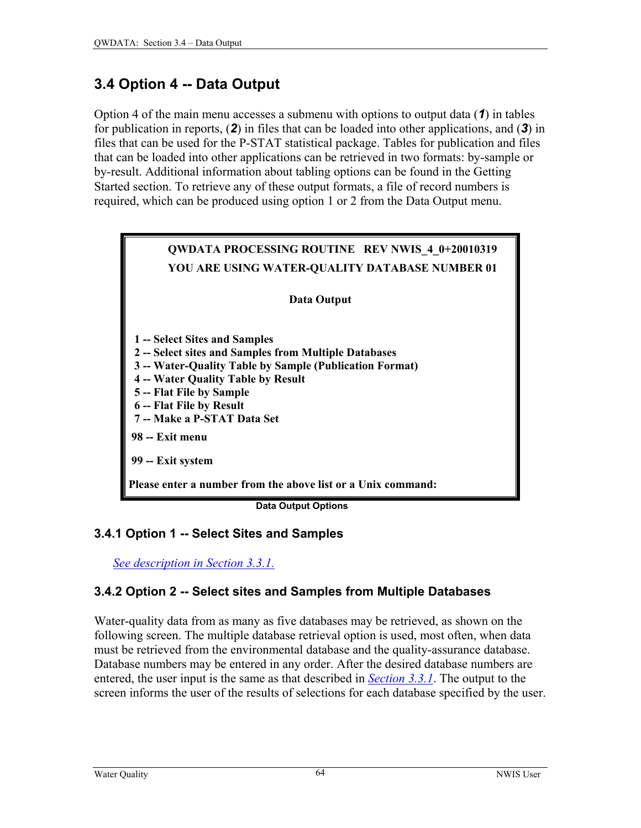# <span id="page-0-0"></span>**3.4 Option 4 -- Data Output**

Option 4 of the main menu accesses a submenu with options to output data (*1*) in tables for publication in reports, (*2*) in files that can be loaded into other applications, and (*3*) in files that can be used for the P-STAT statistical package. Tables for publication and files that can be loaded into other applications can be retrieved in two formats: by-sample or by-result. Additional information about tabling options can be found in the Getting Started section. To retrieve any of these output formats, a file of record numbers is required, which can be produced using option 1 or 2 from the Data Output menu.



 **Data Output Options** 

#### **3.4.1 Option 1 -- Select Sites and Samples**

*See description in Section 3.3.1.* 

# **3.4.2 Option 2 -- Select sites and Samples from Multiple Databases**

Water-quality data from as many as five databases may be retrieved, as shown on the following screen. The multiple database retrieval option is used, most often, when data must be retrieved from the environmental database and the quality-assurance database. Database numbers may be entered in any order. After the desired database numbers are entered, the user input is the same as that described in *Section 3.3.1*. The output to the screen informs the user of the results of selections for each database specified by the user.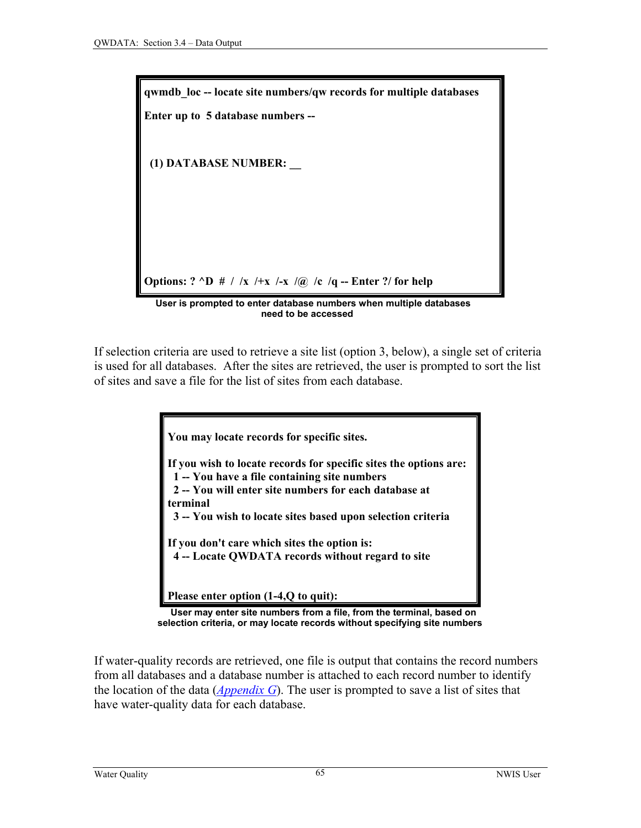<span id="page-1-0"></span>

If selection criteria are used to retrieve a site list (option 3, below), a single set of criteria is used for all databases. After the sites are retrieved, the user is prompted to sort the list of sites and save a file for the list of sites from each database.

> **You may locate records for specific sites. If you wish to locate records for specific sites the options are: 1 -- You have a file containing site numbers 2 -- You will enter site numbers for each database at terminal 3 -- You wish to locate sites based upon selection criteria If you don't care which sites the option is: 4 -- Locate QWDATA records without regard to site Please enter option (1-4,Q to quit):**



If water-quality records are retrieved, one file is output that contains the record numbers from all databases and a database number is attached to each record number to identify the location of the data (*[Appendix G](#page-0-0)*). The user is prompted to save a list of sites that have water-quality data for each database.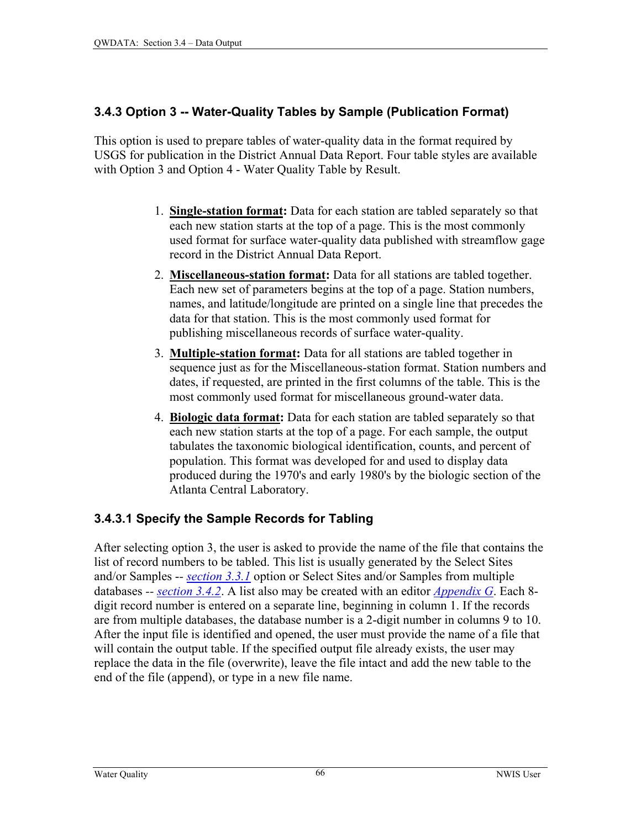#### <span id="page-2-0"></span>**3.4.3 Option 3 -- Water-Quality Tables by Sample (Publication Format)**

This option is used to prepare tables of water-quality data in the format required by USGS for publication in the District Annual Data Report. Four table styles are available with Option 3 and Option 4 - Water Quality Table by Result.

- 1. **Single-station format:** Data for each station are tabled separately so that each new station starts at the top of a page. This is the most commonly used format for surface water-quality data published with streamflow gage record in the District Annual Data Report.
- 2. **Miscellaneous-station format:** Data for all stations are tabled together. Each new set of parameters begins at the top of a page. Station numbers, names, and latitude/longitude are printed on a single line that precedes the data for that station. This is the most commonly used format for publishing miscellaneous records of surface water-quality.
- 3. **Multiple-station format:** Data for all stations are tabled together in sequence just as for the Miscellaneous-station format. Station numbers and dates, if requested, are printed in the first columns of the table. This is the most commonly used format for miscellaneous ground-water data.
- 4. **Biologic data format:** Data for each station are tabled separately so that each new station starts at the top of a page. For each sample, the output tabulates the taxonomic biological identification, counts, and percent of population. This format was developed for and used to display data produced during the 1970's and early 1980's by the biologic section of the Atlanta Central Laboratory.

# **3.4.3.1 Specify the Sample Records for Tabling**

After selecting option 3, the user is asked to provide the name of the file that contains the list of record numbers to be tabled. This list is usually generated by the Select Sites and/or Samples -*- [section 3.3.1](#page-0-0)* option or Select Sites and/or Samples from multiple databases *-- [section 3.4.2](#page-0-0)*. A list also may be created with an editor *[Appendix G](#page-0-0)*. Each 8 digit record number is entered on a separate line, beginning in column 1. If the records are from multiple databases, the database number is a 2-digit number in columns 9 to 10. After the input file is identified and opened, the user must provide the name of a file that will contain the output table. If the specified output file already exists, the user may replace the data in the file (overwrite), leave the file intact and add the new table to the end of the file (append), or type in a new file name.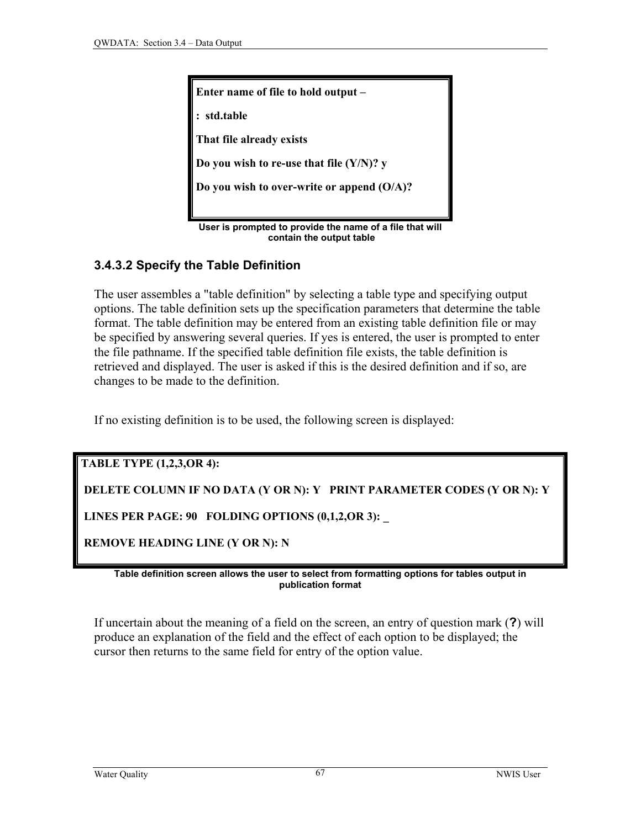<span id="page-3-0"></span>

**User is prompted to provide the name of a file that will contain the output table**

## **3.4.3.2 Specify the Table Definition**

The user assembles a "table definition" by selecting a table type and specifying output options. The table definition sets up the specification parameters that determine the table format. The table definition may be entered from an existing table definition file or may be specified by answering several queries. If yes is entered, the user is prompted to enter the file pathname. If the specified table definition file exists, the table definition is retrieved and displayed. The user is asked if this is the desired definition and if so, are changes to be made to the definition.

If no existing definition is to be used, the following screen is displayed:

**TABLE TYPE (1,2,3,OR 4):** 

 **DELETE COLUMN IF NO DATA (Y OR N): Y PRINT PARAMETER CODES (Y OR N): Y** 

 **LINES PER PAGE: 90 FOLDING OPTIONS (0,1,2,OR 3): \_** 

 **REMOVE HEADING LINE (Y OR N): N** 

**Table definition screen allows the user to select from formatting options for tables output in publication format** 

If uncertain about the meaning of a field on the screen, an entry of question mark (**?**) will produce an explanation of the field and the effect of each option to be displayed; the cursor then returns to the same field for entry of the option value.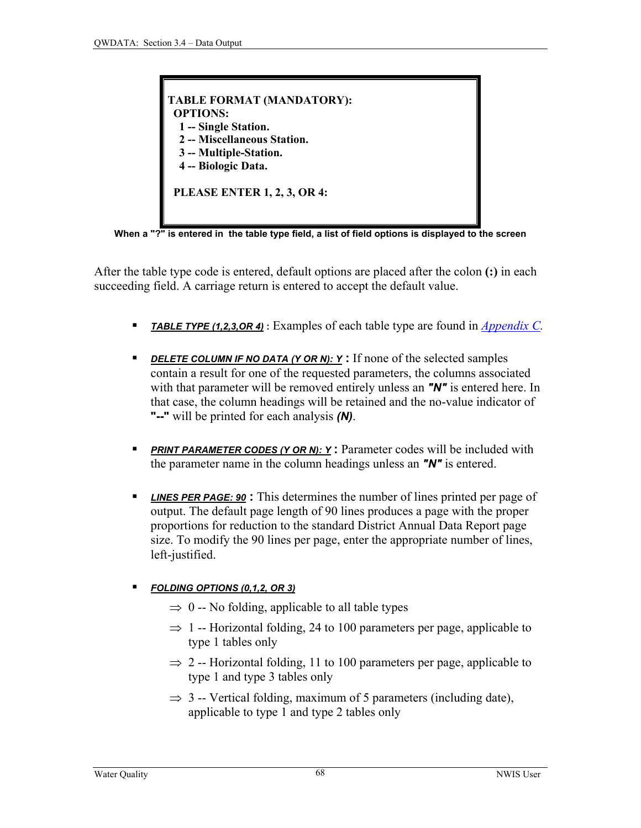

**When a "?" is entered in the table type field, a list of field options is displayed to the screen**

After the table type code is entered, default options are placed after the colon **(:)** in each succeeding field. A carriage return is entered to accept the default value.

- *TABLE TYPE (1,2,3,OR 4)* **:** Examples of each table type are found in *[Appendix C.](#page-0-0)*
- **PELETE COLUMN IF NO DATA (Y OR N): Y:** If none of the selected samples contain a result for one of the requested parameters, the columns associated with that parameter will be removed entirely unless an *"N"* is entered here. In that case, the column headings will be retained and the no-value indicator of **"--"** will be printed for each analysis *(N)*.
- **PRINT PARAMETER CODES (Y OR N): Y:** Parameter codes will be included with the parameter name in the column headings unless an *"N"* is entered.
- *LINES PER PAGE: 90* **:** This determines the number of lines printed per page of output. The default page length of 90 lines produces a page with the proper proportions for reduction to the standard District Annual Data Report page size. To modify the 90 lines per page, enter the appropriate number of lines, left-justified.

#### *FOLDING OPTIONS (0,1,2, OR 3)*

- $\Rightarrow$  0 -- No folding, applicable to all table types
- $\Rightarrow$  1 -- Horizontal folding, 24 to 100 parameters per page, applicable to type 1 tables only
- $\Rightarrow$  2 -- Horizontal folding, 11 to 100 parameters per page, applicable to type 1 and type 3 tables only
- $\Rightarrow$  3 -- Vertical folding, maximum of 5 parameters (including date), applicable to type 1 and type 2 tables only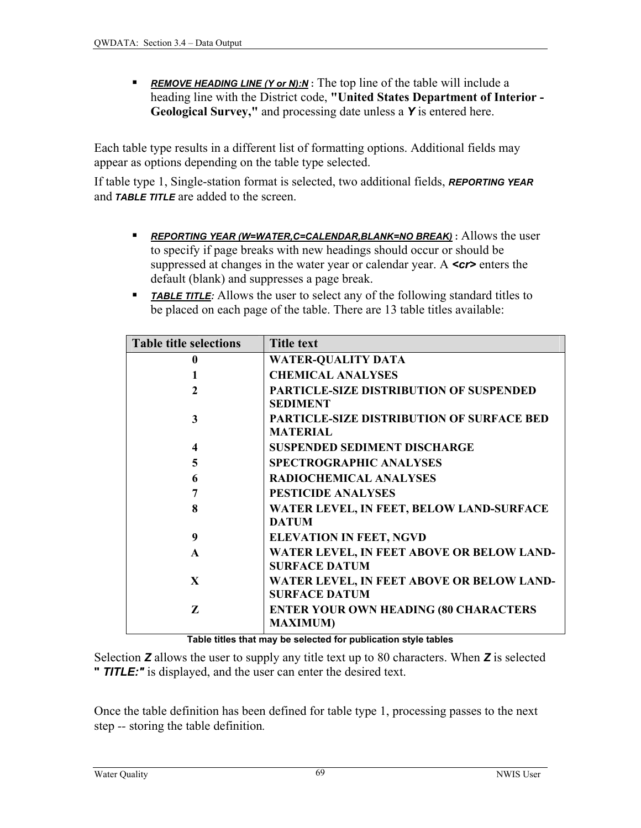<span id="page-5-0"></span> *REMOVE HEADING LINE (Y or N):N* **:** The top line of the table will include a heading line with the District code, **"United States Department of Interior - Geological Survey,"** and processing date unless a *Y* is entered here.

Each table type results in a different list of formatting options. Additional fields may appear as options depending on the table type selected.

If table type 1, Single-station format is selected, two additional fields, *REPORTING YEAR* and *TABLE TITLE* are added to the screen.

- *REPORTING YEAR (W=WATER,C=CALENDAR,BLANK=NO BREAK)* **:** Allows the user to specify if page breaks with new headings should occur or should be suppressed at changes in the water year or calendar year. A *<cr* enters the default (blank) and suppresses a page break.
- **TABLE TITLE:** Allows the user to select any of the following standard titles to be placed on each page of the table. There are 13 table titles available:

| <b>Table title selections</b> | <b>Title text</b>                                                   |
|-------------------------------|---------------------------------------------------------------------|
| 0                             | <b>WATER-QUALITY DATA</b>                                           |
|                               | <b>CHEMICAL ANALYSES</b>                                            |
| $\mathbf{2}$                  | <b>PARTICLE-SIZE DISTRIBUTION OF SUSPENDED</b><br><b>SEDIMENT</b>   |
| 3                             | <b>PARTICLE-SIZE DISTRIBUTION OF SURFACE BED</b><br><b>MATERIAL</b> |
| 4                             | <b>SUSPENDED SEDIMENT DISCHARGE</b>                                 |
| 5                             | <b>SPECTROGRAPHIC ANALYSES</b>                                      |
| 6                             | <b>RADIOCHEMICAL ANALYSES</b>                                       |
| 7                             | <b>PESTICIDE ANALYSES</b>                                           |
| 8                             | WATER LEVEL, IN FEET, BELOW LAND-SURFACE<br><b>DATUM</b>            |
| 9                             | <b>ELEVATION IN FEET, NGVD</b>                                      |
| $\mathbf{A}$                  | WATER LEVEL, IN FEET ABOVE OR BELOW LAND-<br><b>SURFACE DATUM</b>   |
| $\mathbf{X}$                  | WATER LEVEL, IN FEET ABOVE OR BELOW LAND-<br><b>SURFACE DATUM</b>   |
| Z                             | <b>ENTER YOUR OWN HEADING (80 CHARACTERS</b><br><b>MAXIMUM)</b>     |

**Table titles that may be selected for publication style tables** 

Selection *Z* allows the user to supply any title text up to 80 characters. When *Z* is selected **"** *TITLE:"* is displayed, and the user can enter the desired text.

Once the table definition has been defined for table type 1, processing passes to the next step *--* storing the table definition*.*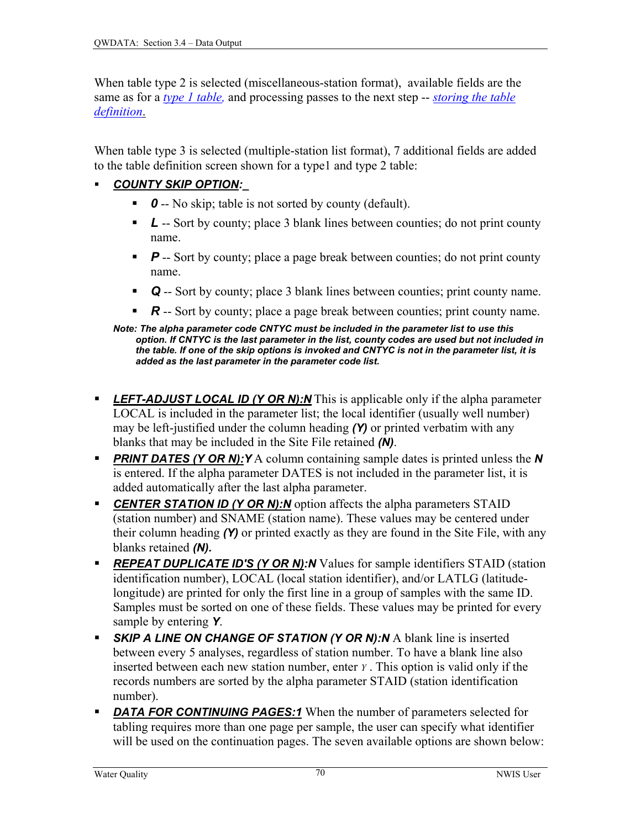When table type 2 is selected (miscellaneous-station format), available fields are the same as for a *[type 1 table,](#page-5-0)* and processing passes to the next step -- *[storing the table](#page-3-0)  [definition](#page-3-0)*.

When table type 3 is selected (multiple-station list format), 7 additional fields are added to the table definition screen shown for a type1 and type 2 table:

#### *COUNTY SKIP OPTION:\_*

- **0** -- No skip; table is not sorted by county (default).
- *L* -- Sort by county; place 3 blank lines between counties; do not print county name.
- **P** -- Sort by county; place a page break between counties; do not print county name.
- *Q* -- Sort by county; place 3 blank lines between counties; print county name.
- *R* -- Sort by county; place a page break between counties; print county name.

- *LEFT-ADJUST LOCAL ID (Y OR N):N* This is applicable only if the alpha parameter LOCAL is included in the parameter list; the local identifier (usually well number) may be left-justified under the column heading *(Y)* or printed verbatim with any blanks that may be included in the Site File retained *(N)*.
- **PRINT DATES (Y OR N): Y** A column containing sample dates is printed unless the *N* is entered. If the alpha parameter DATES is not included in the parameter list, it is added automatically after the last alpha parameter.
- **CENTER STATION ID (Y OR N):N** option affects the alpha parameters STAID (station number) and SNAME (station name). These values may be centered under their column heading *(Y)* or printed exactly as they are found in the Site File, with any blanks retained *(N).*
- **REPEAT DUPLICATE ID'S (Y OR N):N** Values for sample identifiers STAID (station identification number), LOCAL (local station identifier), and/or LATLG (latitudelongitude) are printed for only the first line in a group of samples with the same ID. Samples must be sorted on one of these fields. These values may be printed for every sample by entering *Y*.
- **SKIP A LINE ON CHANGE OF STATION (Y OR N):N** A blank line is inserted between every 5 analyses, regardless of station number. To have a blank line also inserted between each new station number, enter *Y* . This option is valid only if the records numbers are sorted by the alpha parameter STAID (station identification number).
- **DATA FOR CONTINUING PAGES:1** When the number of parameters selected for tabling requires more than one page per sample, the user can specify what identifier will be used on the continuation pages. The seven available options are shown below:

*Note: The alpha parameter code CNTYC must be included in the parameter list to use this option. If CNTYC is the last parameter in the list, county codes are used but not included in the table. If one of the skip options is invoked and CNTYC is not in the parameter list, it is added as the last parameter in the parameter code list.*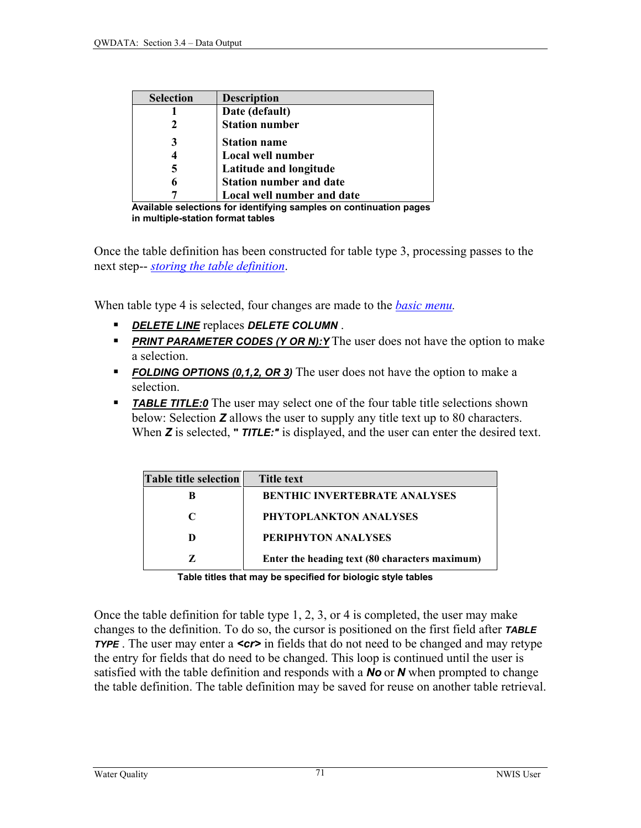| <b>Selection</b> | <b>Description</b>             |
|------------------|--------------------------------|
|                  | Date (default)                 |
| 2                | <b>Station number</b>          |
| 3                | <b>Station name</b>            |
| 4                | Local well number              |
| 5                | Latitude and longitude         |
| 6                | <b>Station number and date</b> |
|                  | Local well number and date     |

**Available selections for identifying samples on continuation pages in multiple-station format tables** 

Once the table definition has been constructed for table type 3, processing passes to the next step-- *[storing the table definition](#page-3-0)*.

When table type 4 is selected, four changes are made to the *[basic menu.](#page-0-0)*

- *DELETE LINE* replaces *DELETE COLUMN* .
- **PRINT PARAMETER CODES (Y OR N):Y** The user does not have the option to make a selection.
- **FOLDING OPTIONS (0,1,2, OR 3)** The user does not have the option to make a selection.
- **TABLE TITLE:0** The user may select one of the four table title selections shown below: Selection *Z* allows the user to supply any title text up to 80 characters. When *Z* is selected, **"** *TITLE:"* is displayed, and the user can enter the desired text.

| <b>Table title selection</b> | <b>Title text</b>                              |
|------------------------------|------------------------------------------------|
| в                            | <b>BENTHIC INVERTEBRATE ANALYSES</b>           |
| $\mathbf C$                  | PHYTOPLANKTON ANALYSES                         |
| D                            | <b>PERIPHYTON ANALYSES</b>                     |
|                              | Enter the heading text (80 characters maximum) |

 **Table titles that may be specified for biologic style tables** 

Once the table definition for table type 1, 2, 3, or 4 is completed, the user may make changes to the definition. To do so, the cursor is positioned on the first field after *TABLE TYPE*. The user may enter a **<cr>** in fields that do not need to be changed and may retype the entry for fields that do need to be changed. This loop is continued until the user is satisfied with the table definition and responds with a *No* or *N* when prompted to change the table definition. The table definition may be saved for reuse on another table retrieval.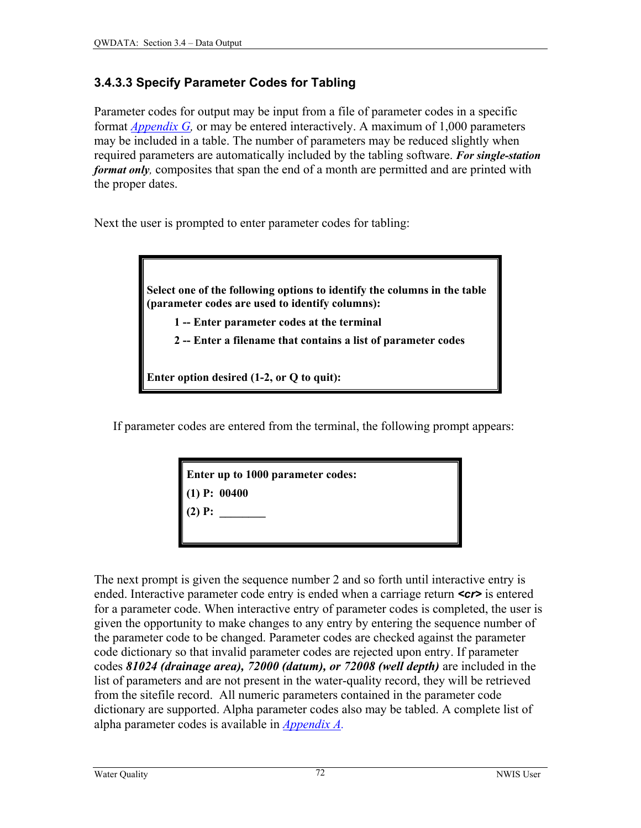## <span id="page-8-0"></span>**3.4.3.3 Specify Parameter Codes for Tabling**

Parameter codes for output may be input from a file of parameter codes in a specific format *[Appendix G,](#page-0-0)* or may be entered interactively. A maximum of 1,000 parameters may be included in a table. The number of parameters may be reduced slightly when required parameters are automatically included by the tabling software. *For single-station format only*, composites that span the end of a month are permitted and are printed with the proper dates.

Next the user is prompted to enter parameter codes for tabling:

**Select one of the following options to identify the columns in the table (parameter codes are used to identify columns):** 

 **1 -- Enter parameter codes at the terminal** 

 **2 -- Enter a filename that contains a list of parameter codes** 

**Enter option desired (1-2, or Q to quit):** 

If parameter codes are entered from the terminal, the following prompt appears:

**Enter up to 1000 parameter codes:** 

**(1) P: 00400** 

 $(2)$  **P**:

The next prompt is given the sequence number 2 and so forth until interactive entry is ended. Interactive parameter code entry is ended when a carriage return **<cr>** is entered for a parameter code. When interactive entry of parameter codes is completed, the user is given the opportunity to make changes to any entry by entering the sequence number of the parameter code to be changed. Parameter codes are checked against the parameter code dictionary so that invalid parameter codes are rejected upon entry. If parameter codes *81024 (drainage area), 72000 (datum), or 72008 (well depth)* are included in the list of parameters and are not present in the water-quality record, they will be retrieved from the sitefile record. All numeric parameters contained in the parameter code dictionary are supported. Alpha parameter codes also may be tabled. A complete list of alpha parameter codes is available in *[Appendix A.](#page-0-0)*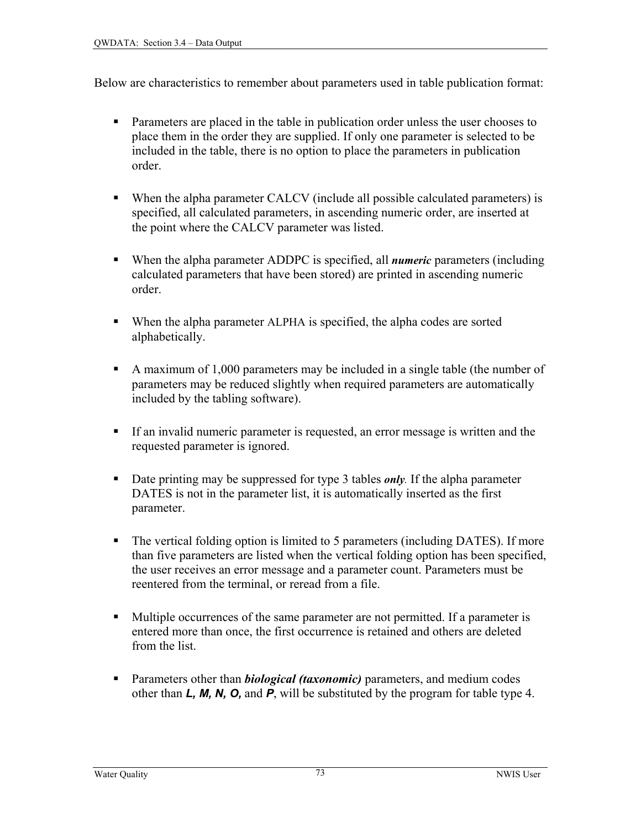Below are characteristics to remember about parameters used in table publication format:

- Parameters are placed in the table in publication order unless the user chooses to place them in the order they are supplied. If only one parameter is selected to be included in the table, there is no option to place the parameters in publication order.
- When the alpha parameter CALCV (include all possible calculated parameters) is specified, all calculated parameters, in ascending numeric order, are inserted at the point where the CALCV parameter was listed.
- When the alpha parameter ADDPC is specified, all *numeric* parameters (including calculated parameters that have been stored) are printed in ascending numeric order.
- When the alpha parameter ALPHA is specified, the alpha codes are sorted alphabetically.
- A maximum of 1,000 parameters may be included in a single table (the number of parameters may be reduced slightly when required parameters are automatically included by the tabling software).
- If an invalid numeric parameter is requested, an error message is written and the requested parameter is ignored.
- Date printing may be suppressed for type 3 tables *only*. If the alpha parameter DATES is not in the parameter list, it is automatically inserted as the first parameter.
- The vertical folding option is limited to 5 parameters (including DATES). If more than five parameters are listed when the vertical folding option has been specified, the user receives an error message and a parameter count. Parameters must be reentered from the terminal, or reread from a file.
- Multiple occurrences of the same parameter are not permitted. If a parameter is entered more than once, the first occurrence is retained and others are deleted from the list.
- **Parameters other than** *biological (taxonomic)* parameters, and medium codes other than *L, M, N, O,* and *P*, will be substituted by the program for table type 4.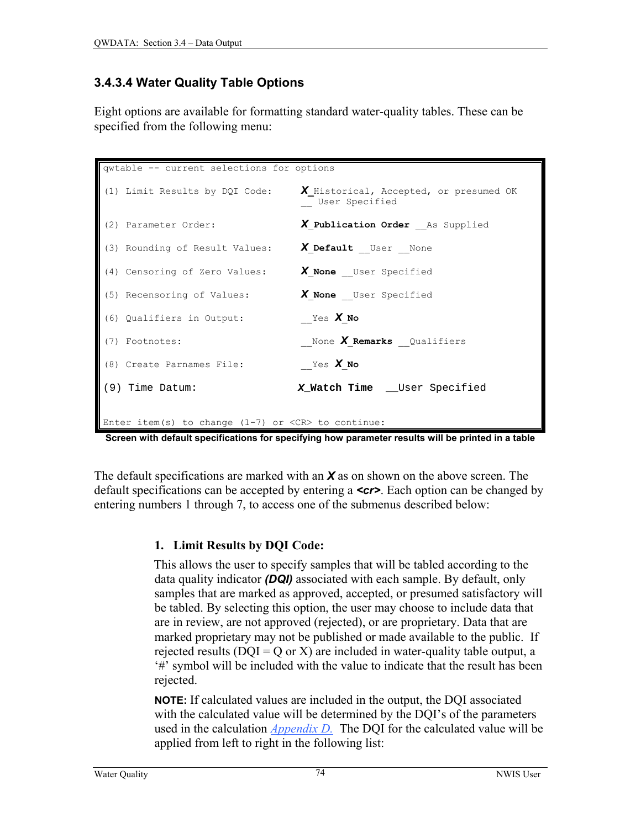## <span id="page-10-0"></span>**3.4.3.4 Water Quality Table Options**

Eight options are available for formatting standard water-quality tables. These can be specified from the following menu:

| qwtable -- current selections for options                            |                                                          |
|----------------------------------------------------------------------|----------------------------------------------------------|
| (1) Limit Results by DQI Code:                                       | X Historical, Accepted, or presumed OK<br>User Specified |
| (2) Parameter Order:                                                 | X Publication Order As Supplied                          |
| (3) Rounding of Result Values:                                       | X Default User None                                      |
| (4) Censoring of Zero Values:                                        | X None User Specified                                    |
| (5) Recensoring of Values:                                           | X None User Specified                                    |
| (6) Qualifiers in Output:                                            | Yes X No                                                 |
| (7) Footnotes:                                                       | None X Remarks Qualifiers                                |
| (8) Create Parnames File:                                            | Yes X No                                                 |
| $(9)$ Time Datum:                                                    | X_Watch Time __User Specified                            |
| Enter item(s) to change $(1-7)$ or $\langle CR \rangle$ to continue: |                                                          |

**Screen with default specifications for specifying how parameter results will be printed in a table** 

The default specifications are marked with an *X* as on shown on the above screen. The default specifications can be accepted by entering a *<cr>*. Each option can be changed by entering numbers 1 through 7, to access one of the submenus described below:

#### **1. Limit Results by DQI Code:**

 This allows the user to specify samples that will be tabled according to the data quality indicator *(DQI)* associated with each sample. By default, only samples that are marked as approved, accepted, or presumed satisfactory will be tabled. By selecting this option, the user may choose to include data that are in review, are not approved (rejected), or are proprietary. Data that are marked proprietary may not be published or made available to the public. If rejected results ( $DQI = Q$  or X) are included in water-quality table output, a '#' symbol will be included with the value to indicate that the result has been rejected.

**NOTE:** If calculated values are included in the output, the DQI associated with the calculated value will be determined by the DQI's of the parameters used in the calculation *[Appendix D.](#page-0-0)* The DQI for the calculated value will be applied from left to right in the following list: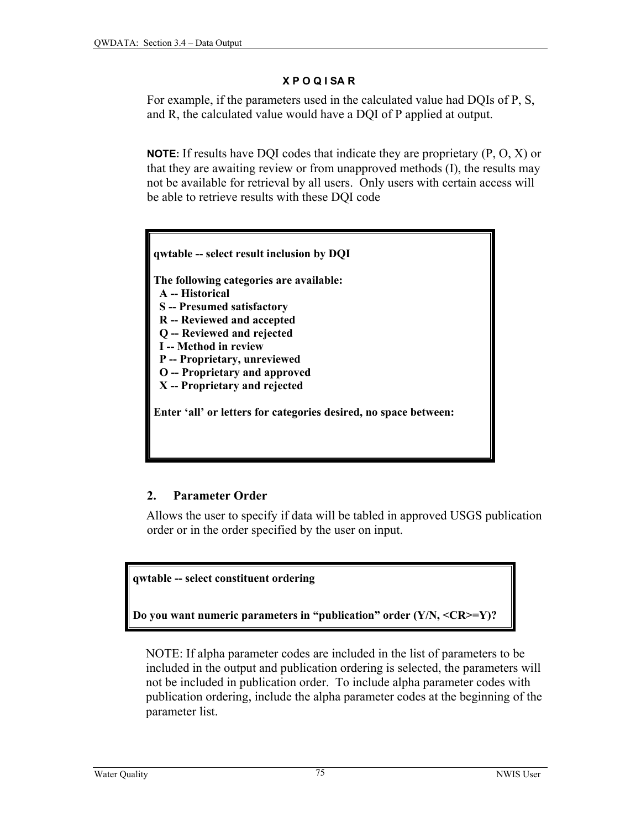#### **X P O Q I SA R**

<span id="page-11-0"></span>For example, if the parameters used in the calculated value had DQIs of P, S, and R, the calculated value would have a DQI of P applied at output.

**NOTE:** If results have DQI codes that indicate they are proprietary (P, O, X) or that they are awaiting review or from unapproved methods (I), the results may not be available for retrieval by all users. Only users with certain access will be able to retrieve results with these DQI code



#### **2. Parameter Order**

 Allows the user to specify if data will be tabled in approved USGS publication order or in the order specified by the user on input.

#### **qwtable -- select constituent ordering**

**Do you want numeric parameters in "publication" order (Y/N, <CR>=Y)?**

NOTE: If alpha parameter codes are included in the list of parameters to be included in the output and publication ordering is selected, the parameters will not be included in publication order. To include alpha parameter codes with publication ordering, include the alpha parameter codes at the beginning of the parameter list.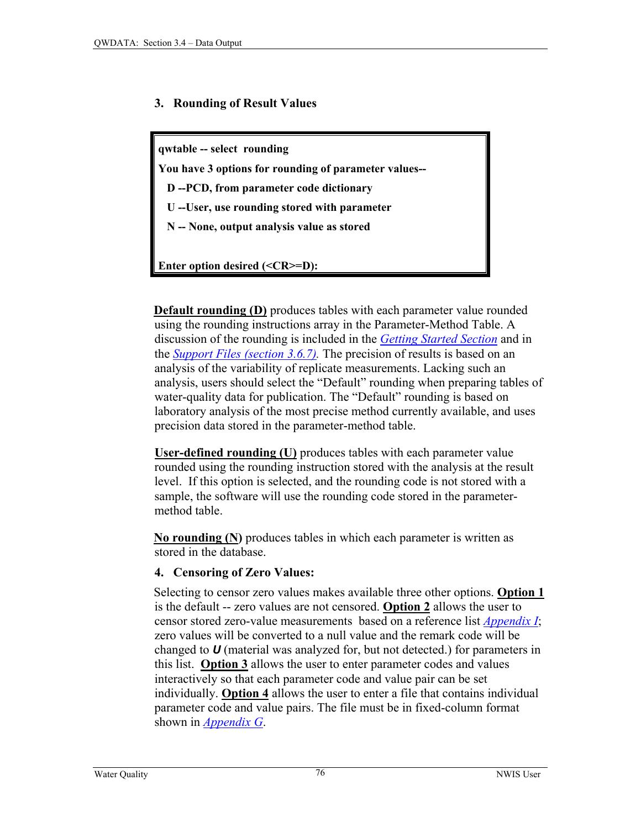#### **3. Rounding of Result Values**

**qwtable -- select rounding You have 3 options for rounding of parameter values-- D --PCD, from parameter code dictionary U --User, use rounding stored with parameter N -- None, output analysis value as stored Enter option desired (<CR>=D):**

**Default rounding (D)** produces tables with each parameter value rounded using the rounding instructions array in the Parameter-Method Table. A discussion of the rounding is included in the *[Getting Started Section](#page-0-0)* and in the *[Support Files \(section 3.6.7\).](#page-3-0)* The precision of results is based on an analysis of the variability of replicate measurements. Lacking such an analysis, users should select the "Default" rounding when preparing tables of water-quality data for publication. The "Default" rounding is based on laboratory analysis of the most precise method currently available, and uses precision data stored in the parameter-method table.

**User-defined rounding (U)** produces tables with each parameter value rounded using the rounding instruction stored with the analysis at the result level. If this option is selected, and the rounding code is not stored with a sample, the software will use the rounding code stored in the parametermethod table.

 **No rounding (N)** produces tables in which each parameter is written as stored in the database.

#### **4. Censoring of Zero Values:**

 Selecting to censor zero values makes available three other options. **Option 1** is the default -- zero values are not censored. **Option 2** allows the user to censor stored zero-value measurements based on a reference list *[Appendix I](#page-0-0)*; zero values will be converted to a null value and the remark code will be changed to *U* (material was analyzed for, but not detected.) for parameters in this list. **Option 3** allows the user to enter parameter codes and values interactively so that each parameter code and value pair can be set individually. **Option 4** allows the user to enter a file that contains individual parameter code and value pairs. The file must be in fixed-column format shown in *[Appendix G](#page-0-0)*.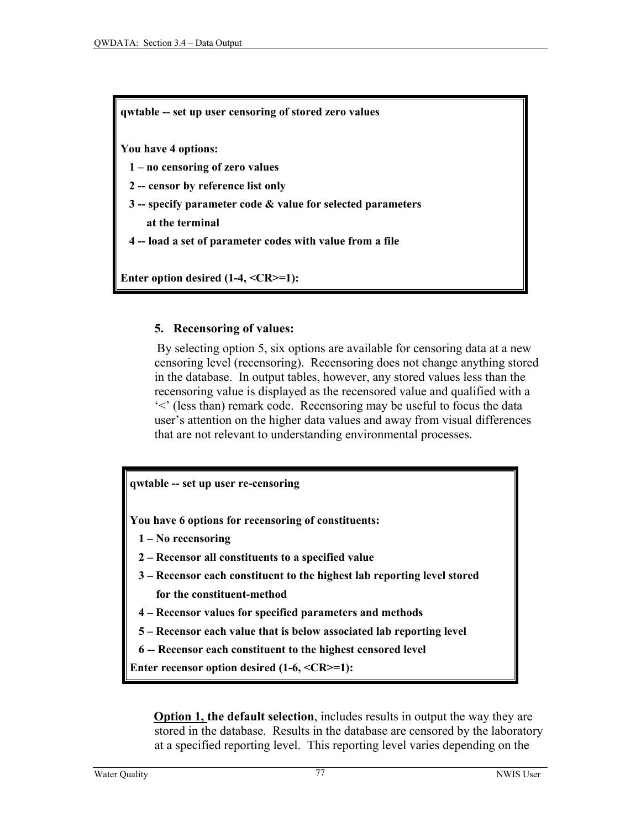**qwtable -- set up user censoring of stored zero values** 

**You have 4 options:** 

 **1 – no censoring of zero values** 

 **2 -- censor by reference list only** 

 **3 -- specify parameter code & value for selected parameters** 

 **at the terminal** 

 **4 -- load a set of parameter codes with value from a file** 

**Enter option desired (1-4, <CR>=1):**

#### **5. Recensoring of values:**

 By selecting option 5, six options are available for censoring data at a new censoring level (recensoring). Recensoring does not change anything stored in the database. In output tables, however, any stored values less than the recensoring value is displayed as the recensored value and qualified with a '<' (less than) remark code. Recensoring may be useful to focus the data user's attention on the higher data values and away from visual differences that are not relevant to understanding environmental processes.

**qwtable -- set up user re-censoring** 

**You have 6 options for recensoring of constituents:** 

- **1 No recensoring**
- **2 Recensor all constituents to a specified value**
- **3 Recensor each constituent to the highest lab reporting level stored for the constituent-method**
- **4 Recensor values for specified parameters and methods**
- **5 Recensor each value that is below associated lab reporting level**
- **6 -- Recensor each constituent to the highest censored level**

**Enter recensor option desired (1-6, <CR>=1):**

**Option 1, the default selection**, includes results in output the way they are stored in the database. Results in the database are censored by the laboratory at a specified reporting level. This reporting level varies depending on the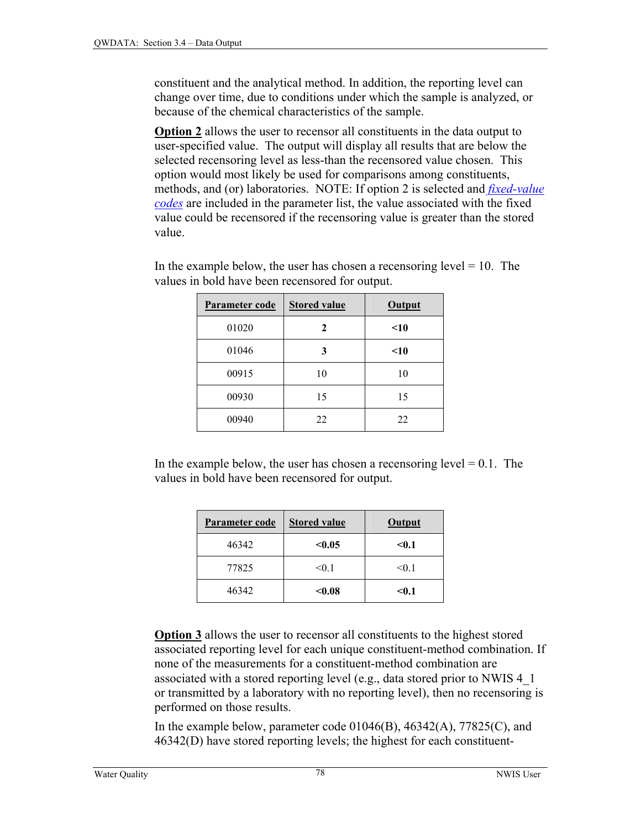constituent and the analytical method. In addition, the reporting level can change over time, due to conditions under which the sample is analyzed, or because of the chemical characteristics of the sample.

**Option 2** allows the user to recensor all constituents in the data output to user-specified value. The output will display all results that are below the selected recensoring level as less-than the recensored value chosen. This option would most likely be used for comparisons among constituents, methods, and (or) laboratories. NOTE: If option 2 is selected and *[fixed-value](#page-0-0)  [codes](#page-0-0)* are included in the parameter list, the value associated with the fixed value could be recensored if the recensoring value is greater than the stored value.

| Parameter code | <b>Stored value</b> | <b>Output</b> |
|----------------|---------------------|---------------|
| 01020          | 2                   | $<$ 10        |
| 01046          | 3                   | $<$ 10        |
| 00915          | 10                  | 10            |
| 00930          | 15                  | 15            |
| 00940          | 22                  | 22            |

In the example below, the user has chosen a recensoring level  $= 10$ . The values in bold have been recensored for output.

In the example below, the user has chosen a recensoring level  $= 0.1$ . The values in bold have been recensored for output.

| Parameter code | <b>Stored value</b> | Output |
|----------------|---------------------|--------|
| 46342          | < 0.05              | $0.1$  |
| 77825          | < 0.1               | < 0.1  |
| 46342          | $0.08$              | $0.1$  |

**Option 3** allows the user to recensor all constituents to the highest stored associated reporting level for each unique constituent-method combination. If none of the measurements for a constituent-method combination are associated with a stored reporting level (e.g., data stored prior to NWIS 4\_1 or transmitted by a laboratory with no reporting level), then no recensoring is performed on those results.

In the example below, parameter code  $01046(B)$ ,  $46342(A)$ ,  $77825(C)$ , and 46342(D) have stored reporting levels; the highest for each constituent-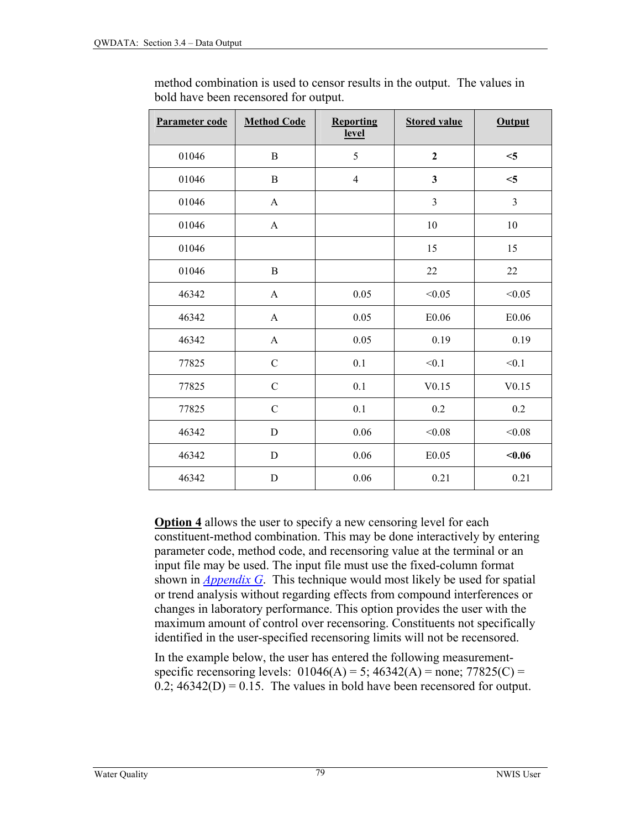| Parameter code | <b>Method Code</b> | <b>Reporting</b><br><u>level</u> | <b>Stored value</b>     | Output         |
|----------------|--------------------|----------------------------------|-------------------------|----------------|
| 01046          | B                  | 5                                | $\mathbf{2}$            | $<$ 5          |
| 01046          | B                  | $\overline{4}$                   | $\overline{\mathbf{3}}$ | $<$ 5          |
| 01046          | $\mathbf{A}$       |                                  | $\overline{3}$          | $\overline{3}$ |
| 01046          | $\mathbf{A}$       |                                  | 10                      | 10             |
| 01046          |                    |                                  | 15                      | 15             |
| 01046          | $\mathbf B$        |                                  | 22                      | 22             |
| 46342          | $\mathbf{A}$       | 0.05                             | < 0.05                  | < 0.05         |
| 46342          | $\mathbf{A}$       | 0.05                             | E0.06                   | E0.06          |
| 46342          | $\mathbf{A}$       | 0.05                             | 0.19                    | 0.19           |
| 77825          | $\mathbf C$        | 0.1                              | < 0.1                   | < 0.1          |
| 77825          | $\mathcal{C}$      | 0.1                              | V0.15                   | V0.15          |
| 77825          | $\mathbf C$        | 0.1                              | 0.2                     | 0.2            |
| 46342          | $\mathbf D$        | 0.06                             | < 0.08                  | < 0.08         |
| 46342          | D                  | $0.06\,$                         | E0.05                   | < 0.06         |
| 46342          | $\mathbf D$        | 0.06                             | 0.21                    | 0.21           |

method combination is used to censor results in the output. The values in bold have been recensored for output.

**Option 4** allows the user to specify a new censoring level for each constituent-method combination. This may be done interactively by entering parameter code, method code, and recensoring value at the terminal or an input file may be used. The input file must use the fixed-column format shown in *[Appendix G](#page-0-0)*. This technique would most likely be used for spatial or trend analysis without regarding effects from compound interferences or changes in laboratory performance. This option provides the user with the maximum amount of control over recensoring. Constituents not specifically identified in the user-specified recensoring limits will not be recensored.

In the example below, the user has entered the following measurementspecific recensoring levels:  $01046(A) = 5$ ;  $46342(A) =$  none;  $77825(C) =$  $0.2$ ;  $46342(D) = 0.15$ . The values in bold have been recensored for output.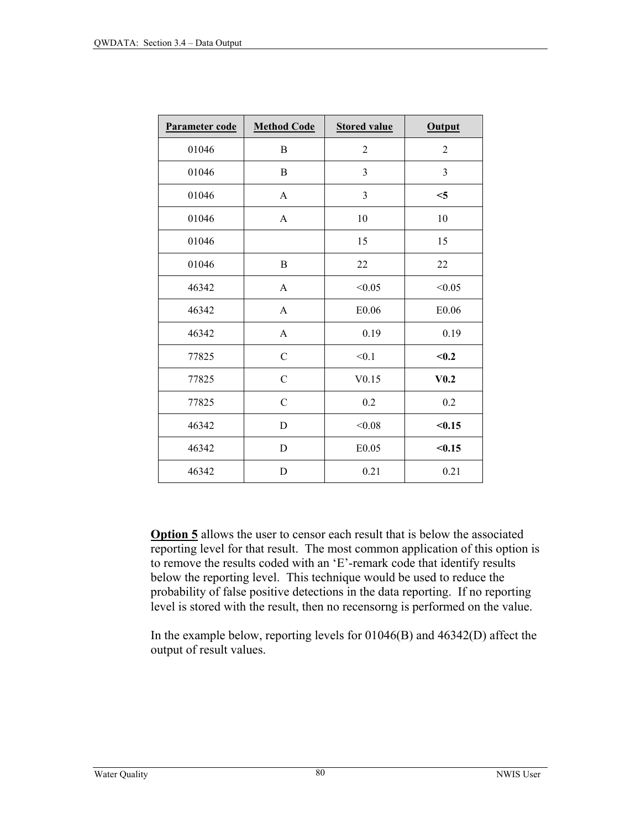| Parameter code | <b>Method Code</b> | <b>Stored value</b> | <b>Output</b>    |
|----------------|--------------------|---------------------|------------------|
| 01046          | B                  | $\overline{2}$      | $\overline{c}$   |
| 01046          | B                  | $\mathfrak{Z}$      | 3                |
| 01046          | A                  | 3                   | $<$ 5            |
| 01046          | A                  | 10                  | 10               |
| 01046          |                    | 15                  | 15               |
| 01046          | B                  | 22                  | 22               |
| 46342          | A                  | < 0.05              | < 0.05           |
| 46342          | $\mathbf{A}$       | E0.06               | ${\rm E}0.06$    |
| 46342          | A                  | 0.19                | 0.19             |
| 77825          | $\mathbf C$        | < 0.1               | < 0.2            |
| 77825          | $\mathbf C$        | V0.15               | V <sub>0.2</sub> |
| 77825          | $\mathcal{C}$      | 0.2                 | 0.2              |
| 46342          | D                  | < 0.08              | < 0.15           |
| 46342          | D                  | E <sub>0.05</sub>   | < 0.15           |
| 46342          | D                  | 0.21                | 0.21             |

**Option 5** allows the user to censor each result that is below the associated reporting level for that result. The most common application of this option is to remove the results coded with an 'E'-remark code that identify results below the reporting level. This technique would be used to reduce the probability of false positive detections in the data reporting. If no reporting level is stored with the result, then no recensorng is performed on the value.

In the example below, reporting levels for 01046(B) and 46342(D) affect the output of result values.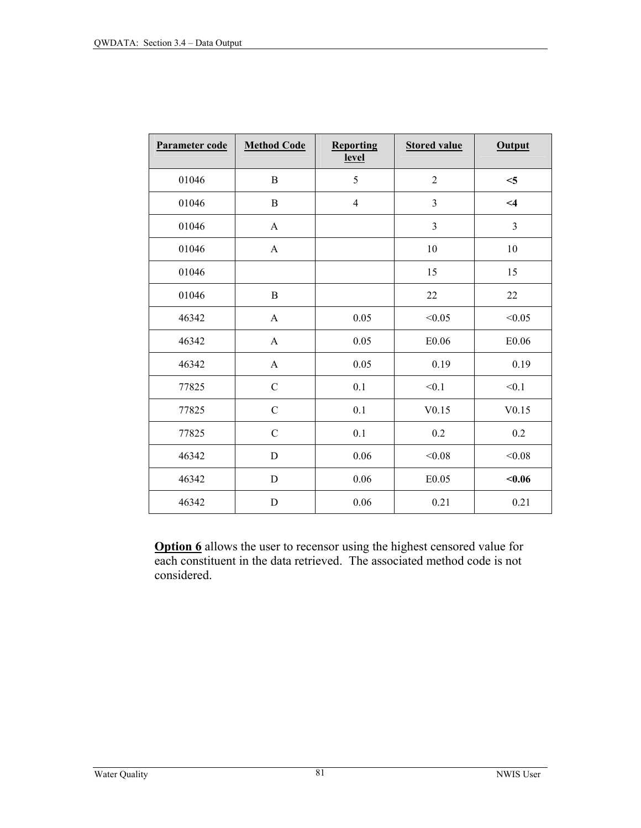| Parameter code | <b>Method Code</b> | Reporting<br><u>level</u> | <b>Stored value</b>     | <b>Output</b>  |
|----------------|--------------------|---------------------------|-------------------------|----------------|
| 01046          | B                  | 5                         | $\overline{2}$          | $<$ 5          |
| 01046          | $\bf{B}$           | $\overline{4}$            | $\overline{3}$          | $\leq$ 4       |
| 01046          | $\mathbf{A}$       |                           | $\overline{\mathbf{3}}$ | $\mathfrak{Z}$ |
| 01046          | $\mathbf{A}$       |                           | 10                      | $10\,$         |
| 01046          |                    |                           | 15                      | 15             |
| 01046          | $\, {\bf B}$       |                           | 22                      | 22             |
| 46342          | $\mathbf{A}$       | 0.05                      | < 0.05                  | < 0.05         |
| 46342          | $\mathbf{A}$       | 0.05                      | E0.06                   | ${\rm E}0.06$  |
| 46342          | $\mathbf{A}$       | 0.05                      | 0.19                    | 0.19           |
| 77825          | $\mathcal{C}$      | 0.1                       | < 0.1                   | < 0.1          |
| 77825          | $\mathbf C$        | 0.1                       | V0.15                   | V0.15          |
| 77825          | $\mathcal{C}$      | 0.1                       | 0.2                     | 0.2            |
| 46342          | $\mathbf D$        | 0.06                      | < 0.08                  | < 0.08         |
| 46342          | D                  | 0.06                      | E0.05                   | < 0.06         |
| 46342          | $\mathbf D$        | 0.06                      | 0.21                    | 0.21           |

**Option 6** allows the user to recensor using the highest censored value for each constituent in the data retrieved. The associated method code is not considered.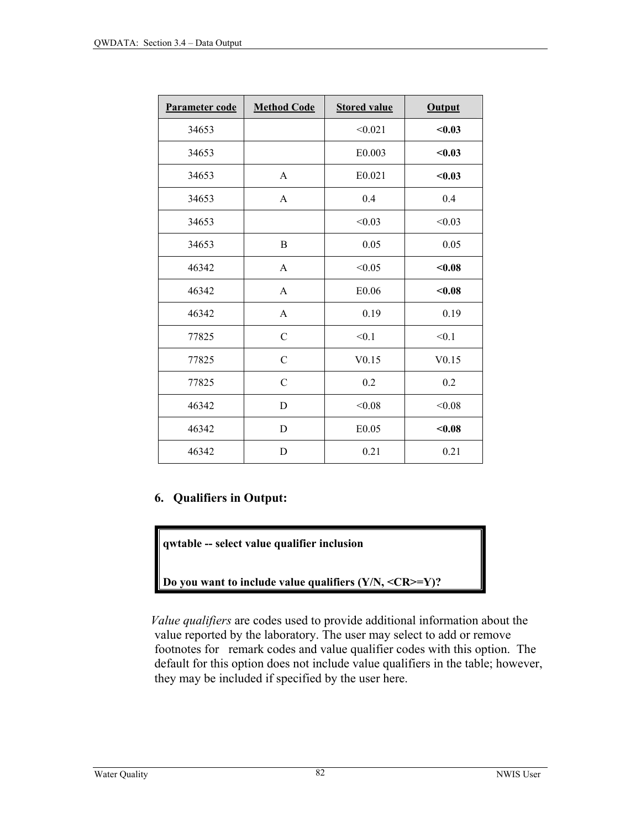| Parameter code | <b>Method Code</b> | <b>Stored value</b> | <b>Output</b> |
|----------------|--------------------|---------------------|---------------|
| 34653          |                    | < 0.021             | < 0.03        |
| 34653          |                    | E0.003              | < 0.03        |
| 34653          | A                  | E0.021              | < 0.03        |
| 34653          | A                  | 0.4                 | 0.4           |
| 34653          |                    | < 0.03              | < 0.03        |
| 34653          | B                  | 0.05                | 0.05          |
| 46342          | A                  | < 0.05              | $0.08$        |
| 46342          | A                  | E0.06               | < 0.08        |
| 46342          | $\mathbf{A}$       | 0.19                | 0.19          |
| 77825          | $\mathcal{C}$      | < 0.1               | < 0.1         |
| 77825          | $\mathcal{C}$      | V0.15               | V0.15         |
| 77825          | $\mathcal{C}$      | 0.2                 | 0.2           |
| 46342          | D                  | < 0.08              | < 0.08        |
| 46342          | D                  | E0.05               | $0.08$        |
| 46342          | D                  | 0.21                | 0.21          |

#### **6. Qualifiers in Output:**

**qwtable -- select value qualifier inclusion** 

**Do you want to include value qualifiers (Y/N, <CR>=Y)?**

 *Value qualifiers* are codes used to provide additional information about the value reported by the laboratory. The user may select to add or remove footnotes for remark codes and value qualifier codes with this option. The default for this option does not include value qualifiers in the table; however, they may be included if specified by the user here.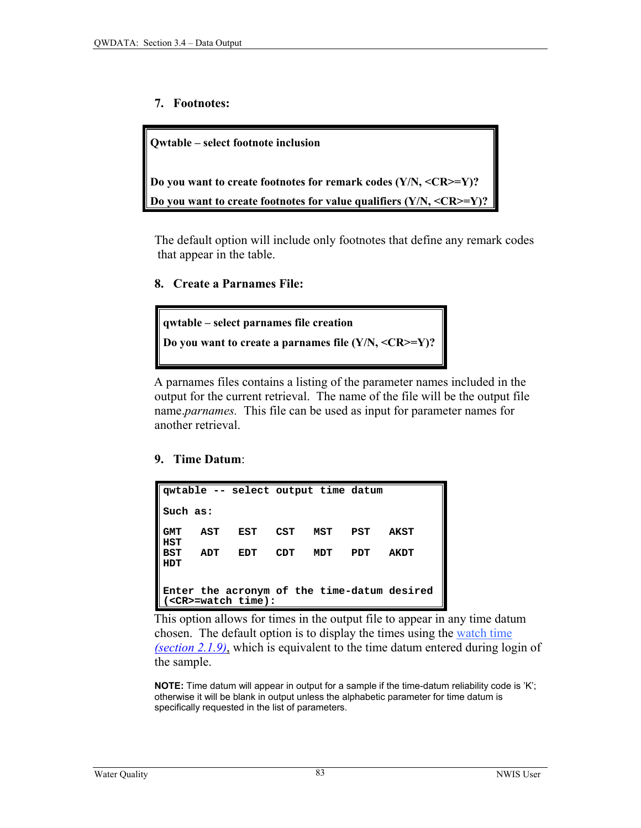#### **7. Footnotes:**

**Qwtable – select footnote inclusion Do you want to create footnotes for remark codes (Y/N, <CR>=Y)? Do you want to create footnotes for value qualifiers (Y/N, <CR>=Y)?**

The default option will include only footnotes that define any remark codes that appear in the table.

#### **8. Create a Parnames File:**



 A parnames files contains a listing of the parameter names included in the output for the current retrieval. The name of the file will be the output file name.*parnames.* This file can be used as input for parameter names for another retrieval.

#### **9. Time Datum**:

|            |     | qwtable -- select output time datum |     |       |      |                                             |
|------------|-----|-------------------------------------|-----|-------|------|---------------------------------------------|
| Such as:   |     |                                     |     |       |      |                                             |
| GMT<br>HST | AST | EST                                 | CST | MST   | PST  | <b>AKST</b>                                 |
| BST<br>HDT | ADT | EDT                                 | CDT | ידמוא | ידתם | AKDT                                        |
|            |     |                                     |     |       |      |                                             |
|            |     |                                     |     |       |      | Enter the acronym of the time-datum desired |
|            |     | $(<$ CR $>$ =watch time):           |     |       |      |                                             |

 This option allows for times in the output file to appear in any time datum chosen. The default option is to display the times using th[e watch time](#page-1-0)  *[\(section 2.1.9\)](#page-1-0)*, which is equivalent to the time datum entered during login of the sample.

**NOTE:** Time datum will appear in output for a sample if the time-datum reliability code is 'K'; otherwise it will be blank in output unless the alphabetic parameter for time datum is specifically requested in the list of parameters.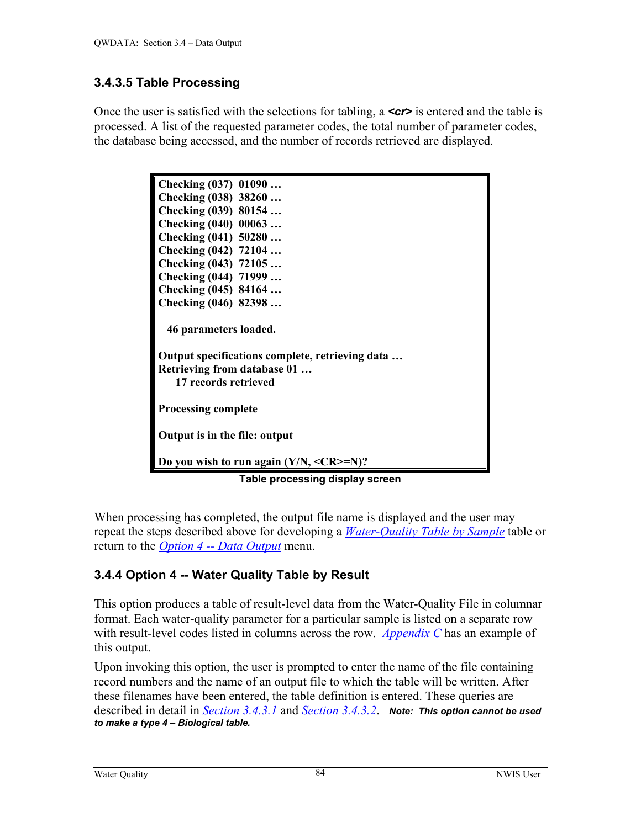# <span id="page-20-0"></span>**3.4.3.5 Table Processing**

Once the user is satisfied with the selections for tabling, a *cr* is entered and the table is processed. A list of the requested parameter codes, the total number of parameter codes, the database being accessed, and the number of records retrieved are displayed.

| Checking (037) 01090                                       |
|------------------------------------------------------------|
| Checking (038) 38260                                       |
| Checking (039) 80154                                       |
| Checking (040) 00063                                       |
| Checking (041) 50280                                       |
| Checking (042) 72104                                       |
| Checking (043) 72105                                       |
| Checking (044) 71999                                       |
| Checking (045) 84164                                       |
| Checking (046) 82398                                       |
|                                                            |
| 46 parameters loaded.                                      |
|                                                            |
| Output specifications complete, retrieving data            |
| Retrieving from database 01                                |
| 17 records retrieved                                       |
|                                                            |
| <b>Processing complete</b>                                 |
|                                                            |
| Output is in the file: output                              |
| Do you wish to run again $(Y/N, \langle CR \rangle = N)$ ? |
|                                                            |
| Table processing display screen                            |

When processing has completed, the output file name is displayed and the user may repeat the steps described above for developing a *[Water-Quality Table by Sample](#page-2-0)* table or return to the *[Option 4 -- Data Output](#page-0-0)* menu.

# **3.4.4 Option 4 -- Water Quality Table by Result**

This option produces a table of result-level data from the Water-Quality File in columnar format. Each water-quality parameter for a particular sample is listed on a separate row with result-level codes listed in columns across the row. *[Appendix C](#page-0-0)* has an example of this output.

Upon invoking this option, the user is prompted to enter the name of the file containing record numbers and the name of an output file to which the table will be written. After these filenames have been entered, the table definition is entered. These queries are described in detail in *[Section 3.4.3.1](#page-2-0)* and *[Section 3.4.3.2](#page-3-0)*. *Note: This option cannot be used to make a type 4 – Biological table.*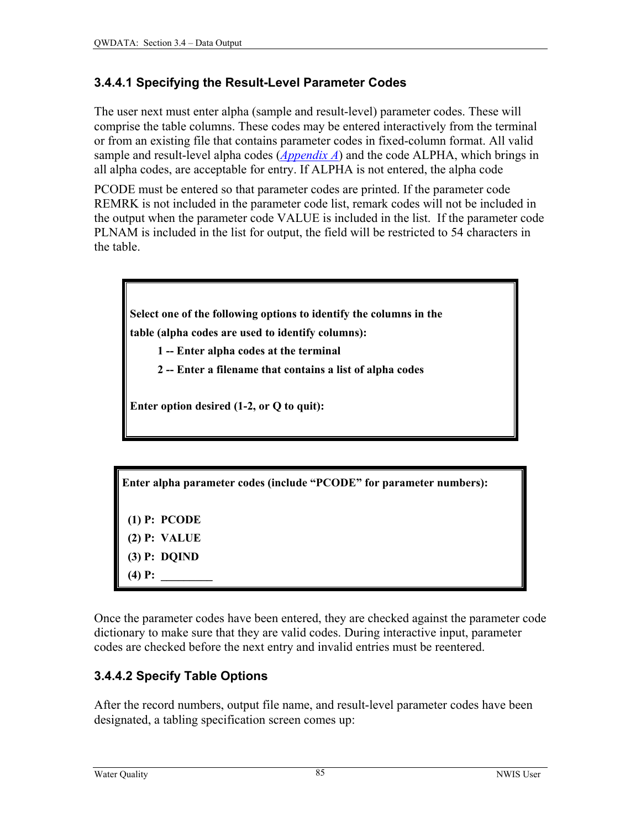### <span id="page-21-0"></span>**3.4.4.1 Specifying the Result-Level Parameter Codes**

The user next must enter alpha (sample and result-level) parameter codes. These will comprise the table columns. These codes may be entered interactively from the terminal or from an existing file that contains parameter codes in fixed-column format. All valid sample and result-level alpha codes (*[Appendix A](#page-0-0)*) and the code ALPHA, which brings in all alpha codes, are acceptable for entry. If ALPHA is not entered, the alpha code

PCODE must be entered so that parameter codes are printed. If the parameter code REMRK is not included in the parameter code list, remark codes will not be included in the output when the parameter code VALUE is included in the list. If the parameter code PLNAM is included in the list for output, the field will be restricted to 54 characters in the table.



**table (alpha codes are used to identify columns):** 

- **1 -- Enter alpha codes at the terminal**
- **2 -- Enter a filename that contains a list of alpha codes**

**Enter option desired (1-2, or Q to quit):** 

**Enter alpha parameter codes (include "PCODE" for parameter numbers):** 

 **(1) P: PCODE (2) P: VALUE (3) P: DQIND**   $(4)$  **P**:

Once the parameter codes have been entered, they are checked against the parameter code dictionary to make sure that they are valid codes. During interactive input, parameter codes are checked before the next entry and invalid entries must be reentered.

# **3.4.4.2 Specify Table Options**

After the record numbers, output file name, and result-level parameter codes have been designated, a tabling specification screen comes up: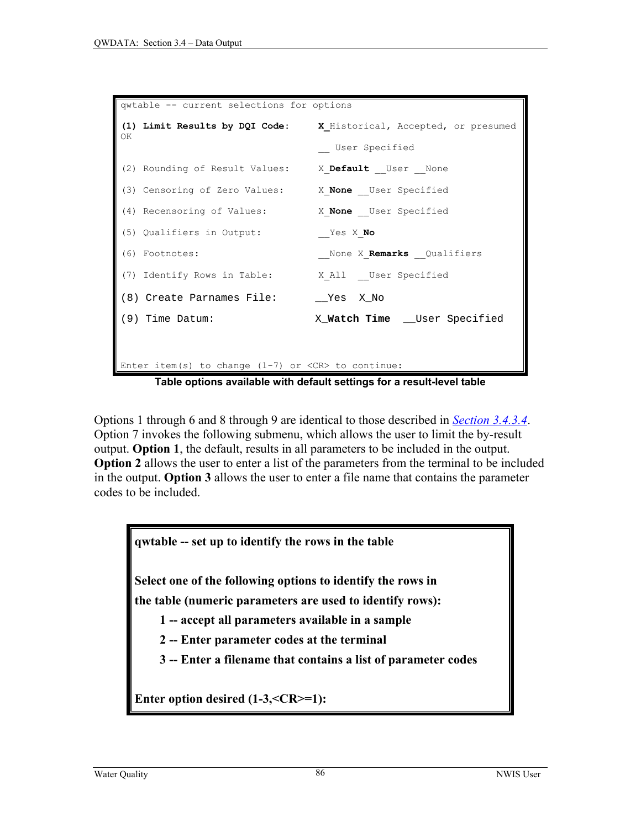```
qwtable -- current selections for options 
(1) Limit Results by DQI Code: X_Historical, Accepted, or presumed 
\capK
                                __ User Specified 
(2) Rounding of Result Values: X Default User None
(3) Censoring of Zero Values: X_None __User Specified 
(4) Recensoring of Values: X_None __User Specified 
(5) Qualifiers in Output: __Yes X_No 
(6) Footnotes: Example 2 None X Remarks Qualifiers
(7) Identify Rows in Table: X All User Specified
(8) Create Parnames File: __Yes X_No 
(9) Time Datum: X Watch Time User Specified
Enter item(s) to change (1-7) or \langle CR \rangle to continue:
```
**Table options available with default settings for a result-level table** 

Options 1 through 6 and 8 through 9 are identical to those described in *[Section 3.4.3.4](#page-10-0)*. Option 7 invokes the following submenu, which allows the user to limit the by-result output. **Option 1**, the default, results in all parameters to be included in the output. **Option 2** allows the user to enter a list of the parameters from the terminal to be included in the output. **Option 3** allows the user to enter a file name that contains the parameter codes to be included.

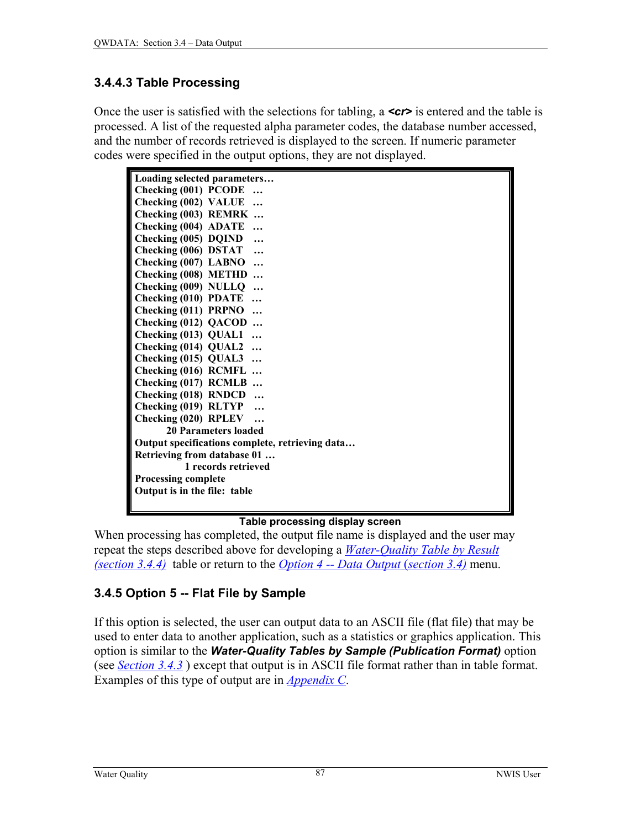### <span id="page-23-0"></span>**3.4.4.3 Table Processing**

Once the user is satisfied with the selections for tabling, a *<cr>* is entered and the table is processed. A list of the requested alpha parameter codes, the database number accessed, and the number of records retrieved is displayed to the screen. If numeric parameter codes were specified in the output options, they are not displayed.

| Loading selected parameters                     |
|-------------------------------------------------|
| Checking (001) PCODE                            |
| Checking (002) VALUE                            |
| Checking (003) REMRK                            |
| Checking (004) ADATE                            |
| Checking (005) DQIND                            |
| Checking (006) DSTAT                            |
| Checking (007) LABNO<br>$\ddotsc$               |
| Checking (008) METHD                            |
| Checking (009) NULLQ                            |
| <b>Checking (010) PDATE</b><br>$\dddotsc$       |
| Checking (011) PRPNO                            |
| Checking (012) QACOD                            |
| Checking (013) QUAL1                            |
| Checking (014) QUAL2                            |
| Checking (015) QUAL3                            |
| Checking (016) RCMFL                            |
| Checking (017) RCMLB                            |
| <b>Checking (018) RNDCD</b><br>$\ddotsc$        |
| Checking (019) RLTYP                            |
| Checking (020) RPLEV                            |
| 20 Parameters loaded                            |
| Output specifications complete, retrieving data |
| Retrieving from database 01                     |
| 1 records retrieved                             |
| <b>Processing complete</b>                      |
| Output is in the file: table                    |
|                                                 |

#### **Table processing display screen**

When processing has completed, the output file name is displayed and the user may repeat the steps described above for developing a *[Water-Quality Table by Result](#page-20-0)  [\(section 3.4.4\)](#page-20-0)* table or return to the *[Option 4 -- Data Output](#page-0-0)* (*section 3.4)* menu.

# **3.4.5 Option 5 -- Flat File by Sample**

If this option is selected, the user can output data to an ASCII file (flat file) that may be used to enter data to another application, such as a statistics or graphics application. This option is similar to the *Water-Quality Tables by Sample (Publication Format)* option (see *[Section 3.4.3](#page-2-0)* ) except that output is in ASCII file format rather than in table format. Examples of this type of output are in *[Appendix C](#page-0-0)*.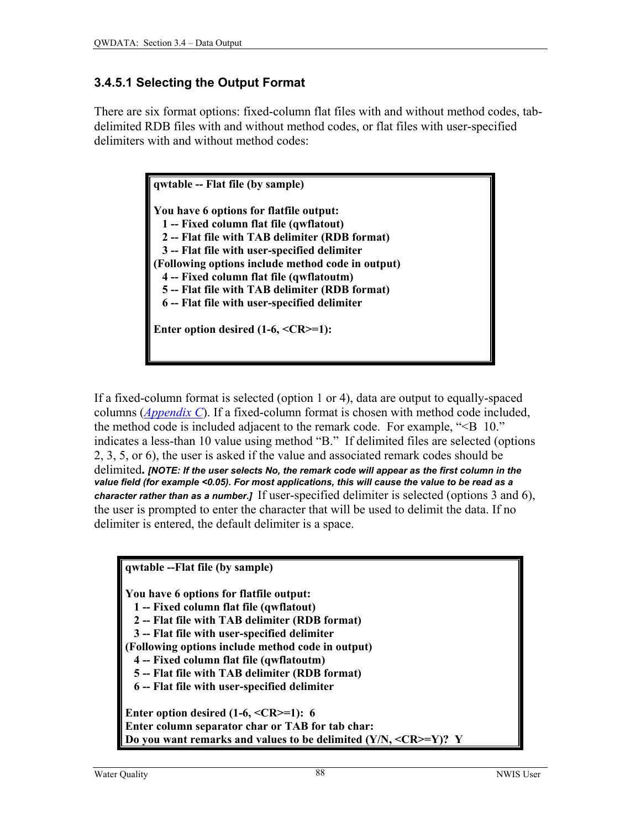### **3.4.5.1 Selecting the Output Format**

There are six format options: fixed-column flat files with and without method codes, tabdelimited RDB files with and without method codes, or flat files with user-specified delimiters with and without method codes:

> **qwtable -- Flat file (by sample) You have 6 options for flatfile output: 1 -- Fixed column flat file (qwflatout) 2 -- Flat file with TAB delimiter (RDB format) 3 -- Flat file with user-specified delimiter (Following options include method code in output) 4 -- Fixed column flat file (qwflatoutm) 5 -- Flat file with TAB delimiter (RDB format) 6 -- Flat file with user-specified delimiter Enter option desired (1-6, <CR>=1):**

If a fixed-column format is selected (option 1 or 4), data are output to equally-spaced columns (*[Appendix C](#page-0-0)*). If a fixed-column format is chosen with method code included, the method code is included adjacent to the remark code. For example, "<B 10." indicates a less-than 10 value using method "B." If delimited files are selected (options 2, 3, 5, or 6), the user is asked if the value and associated remark codes should be delimited**.** *[NOTE: If the user selects No, the remark code will appear as the first column in the value field (for example <0.05). For most applications, this will cause the value to be read as a character rather than as a number.]* If user-specified delimiter is selected (options 3 and 6), the user is prompted to enter the character that will be used to delimit the data. If no delimiter is entered, the default delimiter is a space.

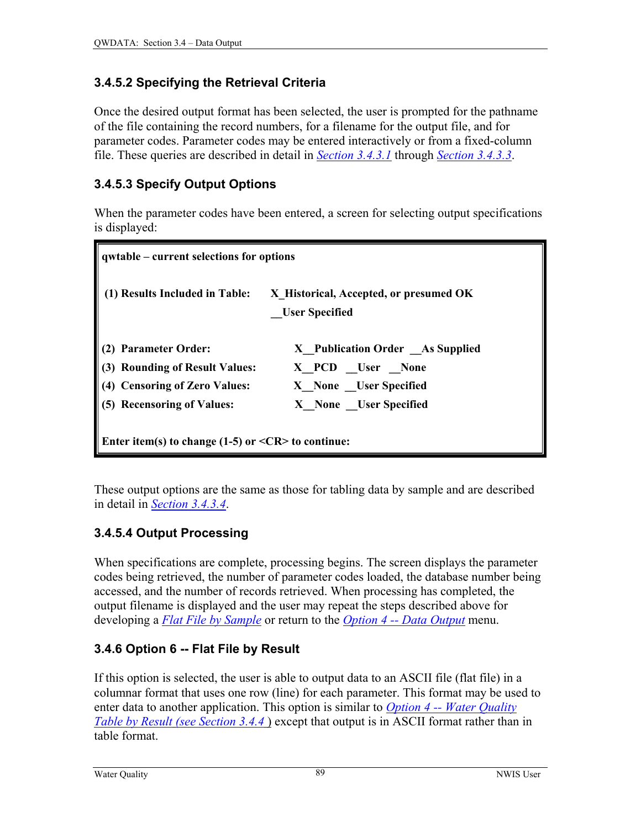## <span id="page-25-0"></span>**3.4.5.2 Specifying the Retrieval Criteria**

Once the desired output format has been selected, the user is prompted for the pathname of the file containing the record numbers, for a filename for the output file, and for parameter codes. Parameter codes may be entered interactively or from a fixed-column file. These queries are described in detail in *[Section 3.4.3.1](#page-2-0)* through *[Section 3.4.3.3](#page-8-0)*.

# **3.4.5.3 Specify Output Options**

When the parameter codes have been entered, a screen for selecting output specifications is displayed:

| qwtable – current selections for options                                                                              |                                                                                                      |  |  |  |
|-----------------------------------------------------------------------------------------------------------------------|------------------------------------------------------------------------------------------------------|--|--|--|
| (1) Results Included in Table:                                                                                        | X Historical, Accepted, or presumed OK<br><b>User Specified</b>                                      |  |  |  |
| (2) Parameter Order:<br>(3) Rounding of Result Values:<br>(4) Censoring of Zero Values:<br>(5) Recensoring of Values: | X Publication Order As Supplied<br>X PCD User None<br>X None User Specified<br>X None User Specified |  |  |  |
| Enter item(s) to change $(1-5)$ or $\leq$ CR $>$ to continue:                                                         |                                                                                                      |  |  |  |

These output options are the same as those for tabling data by sample and are described in detail in *[Section 3.4.3.4](#page-10-0)*.

# **3.4.5.4 Output Processing**

When specifications are complete, processing begins. The screen displays the parameter codes being retrieved, the number of parameter codes loaded, the database number being accessed, and the number of records retrieved. When processing has completed, the output filename is displayed and the user may repeat the steps described above for developing a *[Flat File by Sample](#page-23-0)* or return to the *[Option 4 -- Data Output](#page-0-0)* menu.

# **3.4.6 Option 6 -- Flat File by Result**

If this option is selected, the user is able to output data to an ASCII file (flat file) in a columnar format that uses one row (line) for each parameter. This format may be used to enter data to another application. This option is similar to *[Option 4 -- Water Quality](#page-20-0)  Table by Result [\(see Section 3.4.4](#page-20-0)* ) except that output is in ASCII format rather than in table format.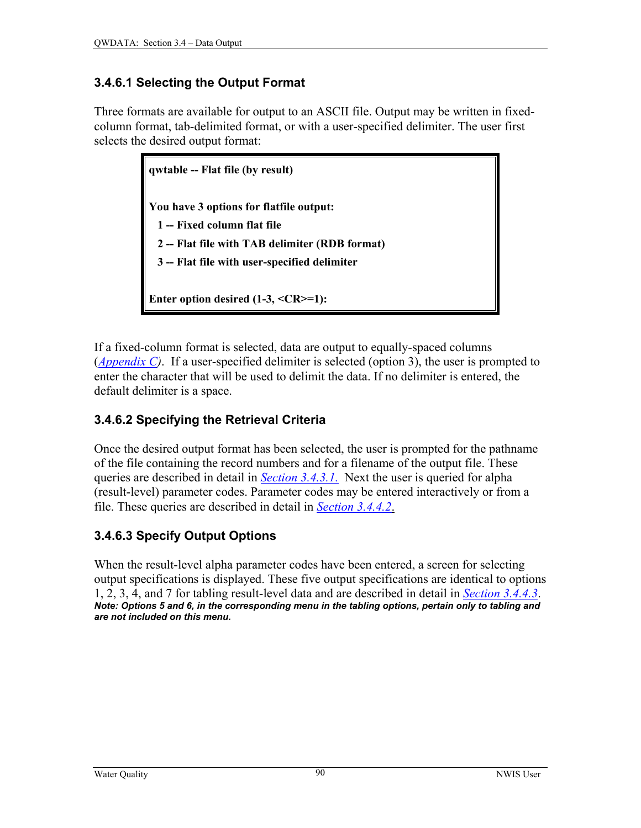# <span id="page-26-0"></span>**3.4.6.1 Selecting the Output Format**

Three formats are available for output to an ASCII file. Output may be written in fixedcolumn format, tab-delimited format, or with a user-specified delimiter. The user first selects the desired output format:

> **qwtable -- Flat file (by result) You have 3 options for flatfile output: 1 -- Fixed column flat file 2 -- Flat file with TAB delimiter (RDB format) 3 -- Flat file with user-specified delimiter Enter option desired (1-3, <CR>=1):**

If a fixed-column format is selected, data are output to equally-spaced columns (*[Appendix C\)](#page-0-0)*. If a user-specified delimiter is selected (option 3), the user is prompted to enter the character that will be used to delimit the data. If no delimiter is entered, the default delimiter is a space.

# **3.4.6.2 Specifying the Retrieval Criteria**

Once the desired output format has been selected, the user is prompted for the pathname of the file containing the record numbers and for a filename of the output file. These queries are described in detail in *[Section 3.4.3.1.](#page-2-0)* Next the user is queried for alpha (result-level) parameter codes. Parameter codes may be entered interactively or from a file. These queries are described in detail in *[Section 3.4.4.2](#page-21-0)*.

# **3.4.6.3 Specify Output Options**

When the result-level alpha parameter codes have been entered, a screen for selecting output specifications is displayed. These five output specifications are identical to options 1, 2, 3, 4, and 7 for tabling result-level data and are described in detail in *[Section 3.4.4.3](#page-23-0)*. *Note: Options 5 and 6, in the corresponding menu in the tabling options, pertain only to tabling and are not included on this menu.*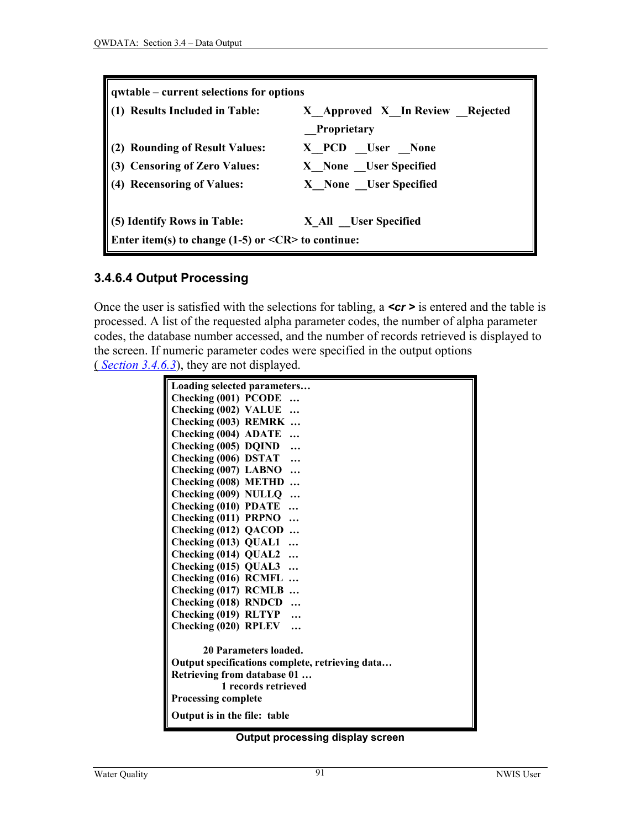| qwtable – current selections for options                                                     |                                                        |  |  |
|----------------------------------------------------------------------------------------------|--------------------------------------------------------|--|--|
| (1) Results Included in Table:                                                               | X Approved X_In Review _Rejected<br><b>Proprietary</b> |  |  |
| (2) Rounding of Result Values:                                                               | X PCD User None                                        |  |  |
| (3) Censoring of Zero Values:                                                                | X None User Specified                                  |  |  |
| (4) Recensoring of Values:                                                                   | X None User Specified                                  |  |  |
| (5) Identify Rows in Table:<br>Enter item(s) to change $(1-5)$ or $\leq$ CR $>$ to continue: | X_All __User Specified                                 |  |  |

#### **3.4.6.4 Output Processing**

Once the user is satisfied with the selections for tabling, a *cr* is entered and the table is processed. A list of the requested alpha parameter codes, the number of alpha parameter codes, the database number accessed, and the number of records retrieved is displayed to the screen. If numeric parameter codes were specified in the output options (*Section 3.4.6.3*), they are not displayed.

| Loading selected parameters                     |  |  |
|-------------------------------------------------|--|--|
| Checking (001) PCODE                            |  |  |
| Checking (002) VALUE<br>$\ddotsc$               |  |  |
| Checking (003) REMRK                            |  |  |
| Checking (004) ADATE                            |  |  |
| Checking (005) DQIND                            |  |  |
| Checking (006) DSTAT<br>$\ddotsc$               |  |  |
| Checking (007) LABNO<br>.                       |  |  |
| Checking (008) METHD                            |  |  |
| Checking (009) NULLQ<br>                        |  |  |
| <b>Checking (010) PDATE</b><br>$\ddotsc$        |  |  |
| Checking (011) PRPNO<br>.                       |  |  |
| Checking (012) QACOD<br>$\ddotsc$               |  |  |
| Checking (013) QUAL1<br>$\ddotsc$               |  |  |
| Checking (014) QUAL2<br>$\ddotsc$               |  |  |
| Checking (015) QUAL3<br>$\ddotsc$               |  |  |
| Checking (016) RCMFL                            |  |  |
| Checking (017) RCMLB                            |  |  |
| Checking (018) RNDCD                            |  |  |
| Checking (019) RLTYP                            |  |  |
| Checking (020) RPLEV                            |  |  |
|                                                 |  |  |
| 20 Parameters loaded.                           |  |  |
| Output specifications complete, retrieving data |  |  |
| Retrieving from database 01                     |  |  |
| 1 records retrieved                             |  |  |
| <b>Processing complete</b>                      |  |  |
| Output is in the file: table                    |  |  |

#### **Output processing display screen**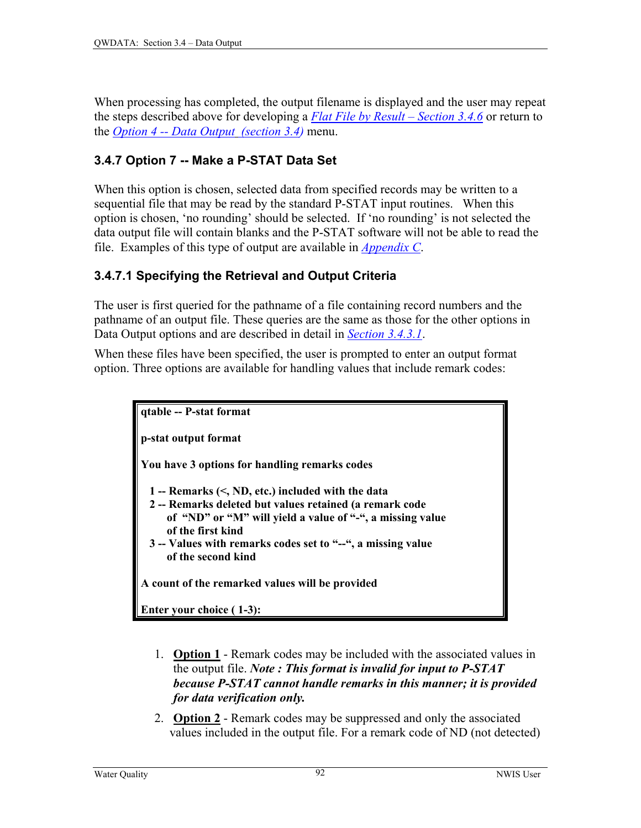<span id="page-28-0"></span>When processing has completed, the output filename is displayed and the user may repeat the steps described above for developing a *[Flat File by Result – Section 3.4.6](#page-25-0)* or return to the *[Option 4 -- Data Output \(section 3.4\)](#page-0-0)* menu.

## **3.4.7 Option 7 -- Make a P-STAT Data Set**

When this option is chosen, selected data from specified records may be written to a sequential file that may be read by the standard P-STAT input routines. When this option is chosen, 'no rounding' should be selected. If 'no rounding' is not selected the data output file will contain blanks and the P-STAT software will not be able to read the file. Examples of this type of output are available in *[Appendix C](#page-0-0)*.

#### **3.4.7.1 Specifying the Retrieval and Output Criteria**

The user is first queried for the pathname of a file containing record numbers and the pathname of an output file. These queries are the same as those for the other options in Data Output options and are described in detail in *[Section 3.4.3.1](#page-2-0)*.

When these files have been specified, the user is prompted to enter an output format option. Three options are available for handling values that include remark codes:



- 1. **Option 1** Remark codes may be included with the associated values in the output file. *Note : This format is invalid for input to P-STAT because P-STAT cannot handle remarks in this manner; it is provided for data verification only.*
- 2. **Option 2** Remark codes may be suppressed and only the associated values included in the output file. For a remark code of ND (not detected)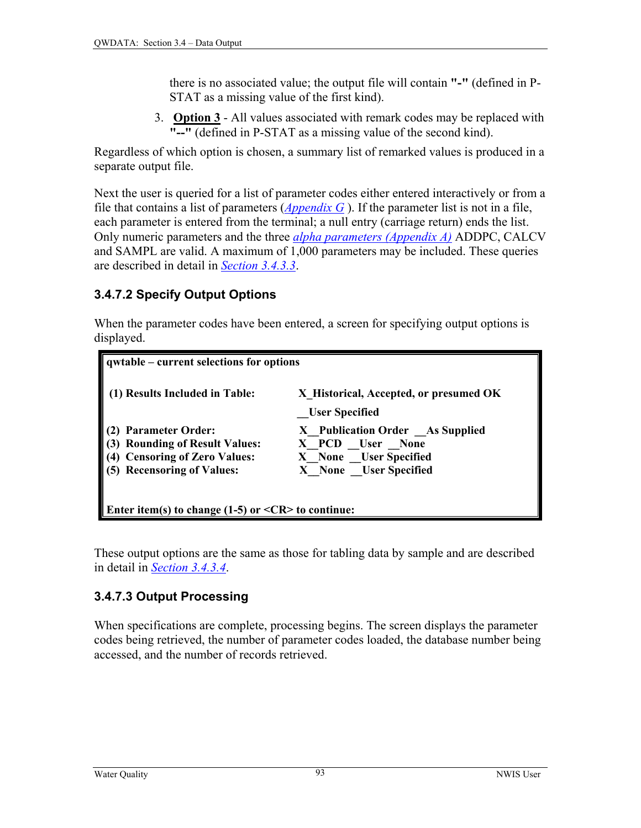there is no associated value; the output file will contain **"-"** (defined in P-STAT as a missing value of the first kind).

3. **Option 3** - All values associated with remark codes may be replaced with **"--"** (defined in P-STAT as a missing value of the second kind).

Regardless of which option is chosen, a summary list of remarked values is produced in a separate output file.

Next the user is queried for a list of parameter codes either entered interactively or from a file that contains a list of parameters (*[Appendix G](#page-0-0)* ). If the parameter list is not in a file, each parameter is entered from the terminal; a null entry (carriage return) ends the list. Only numeric parameters and the three *[alpha parameters \(Appendix A\)](#page-0-0)* ADDPC, CALCV and SAMPL are valid. A maximum of 1,000 parameters may be included. These queries are described in detail in *[Section 3.4.3.3](#page-8-0)*.

## **3.4.7.2 Specify Output Options**

When the parameter codes have been entered, a screen for specifying output options is displayed.

| $\vert$ qwtable – current selections for options                                                                                                    |                                                                                                       |  |  |  |
|-----------------------------------------------------------------------------------------------------------------------------------------------------|-------------------------------------------------------------------------------------------------------|--|--|--|
| <b>Results Included in Table:</b>                                                                                                                   | X Historical, Accepted, or presumed OK<br><b>User Specified</b>                                       |  |  |  |
| <b>Parameter Order:</b><br>$(3)$<br>$(4)$<br><b>Rounding of Result Values:</b><br><b>Censoring of Zero Values:</b><br><b>Recensoring of Values:</b> | X Publication Order _As Supplied<br>X PCD User None<br>X None User Specified<br>X None User Specified |  |  |  |
| Enter item(s) to change (1-5) or $\langle CR \rangle$ to continue:                                                                                  |                                                                                                       |  |  |  |

These output options are the same as those for tabling data by sample and are described in detail in *[Section 3.4.3.4](#page-10-0)*.

#### **3.4.7.3 Output Processing**

When specifications are complete, processing begins. The screen displays the parameter codes being retrieved, the number of parameter codes loaded, the database number being accessed, and the number of records retrieved.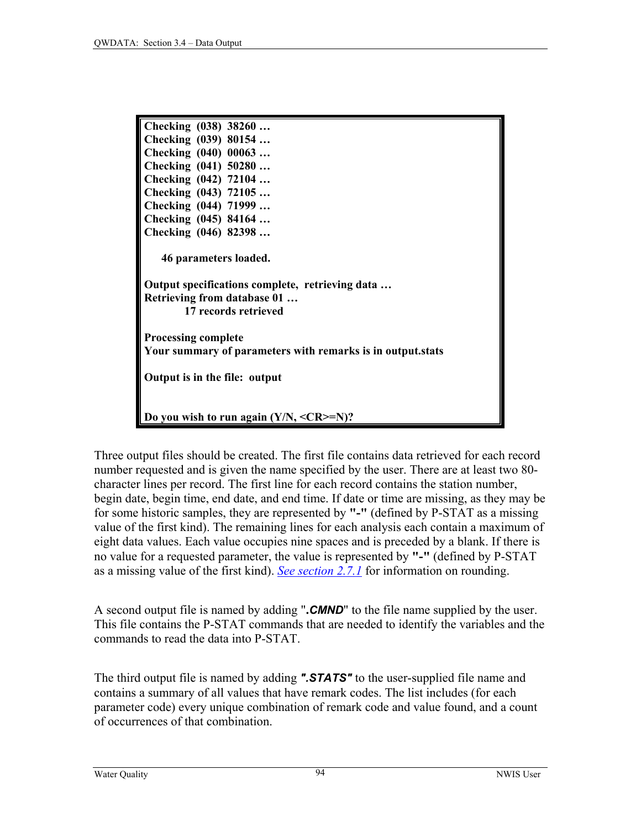| Checking (038) 38260                                       |  |  |
|------------------------------------------------------------|--|--|
|                                                            |  |  |
| Checking (039) 80154                                       |  |  |
| Checking (040) 00063                                       |  |  |
| Checking (041) 50280                                       |  |  |
| Checking (042) 72104                                       |  |  |
| Checking (043) 72105                                       |  |  |
| Checking (044) 71999                                       |  |  |
| Checking (045) 84164                                       |  |  |
| Checking (046) 82398                                       |  |  |
|                                                            |  |  |
| 46 parameters loaded.                                      |  |  |
|                                                            |  |  |
| Output specifications complete, retrieving data            |  |  |
| <b>Retrieving from database 01</b>                         |  |  |
| 17 records retrieved                                       |  |  |
|                                                            |  |  |
| <b>Processing complete</b>                                 |  |  |
| Your summary of parameters with remarks is in output.stats |  |  |
|                                                            |  |  |
| Output is in the file: output                              |  |  |
|                                                            |  |  |
|                                                            |  |  |
|                                                            |  |  |
| Do you wish to run again $(Y/N, \langle CR \rangle = N)$ ? |  |  |

Three output files should be created. The first file contains data retrieved for each record number requested and is given the name specified by the user. There are at least two 80 character lines per record. The first line for each record contains the station number, begin date, begin time, end date, and end time. If date or time are missing, as they may be for some historic samples, they are represented by **"-"** (defined by P-STAT as a missing value of the first kind). The remaining lines for each analysis each contain a maximum of eight data values. Each value occupies nine spaces and is preceded by a blank. If there is no value for a requested parameter, the value is represented by **"-"** (defined by P-STAT as a missing value of the first kind). *[See section 2.](#page-11-0)7.1* for information on rounding.

A second output file is named by adding "**.***CMND*" to the file name supplied by the user. This file contains the P-STAT commands that are needed to identify the variables and the commands to read the data into P-STAT.

The third output file is named by adding *".STATS"* to the user-supplied file name and contains a summary of all values that have remark codes. The list includes (for each parameter code) every unique combination of remark code and value found, and a count of occurrences of that combination.